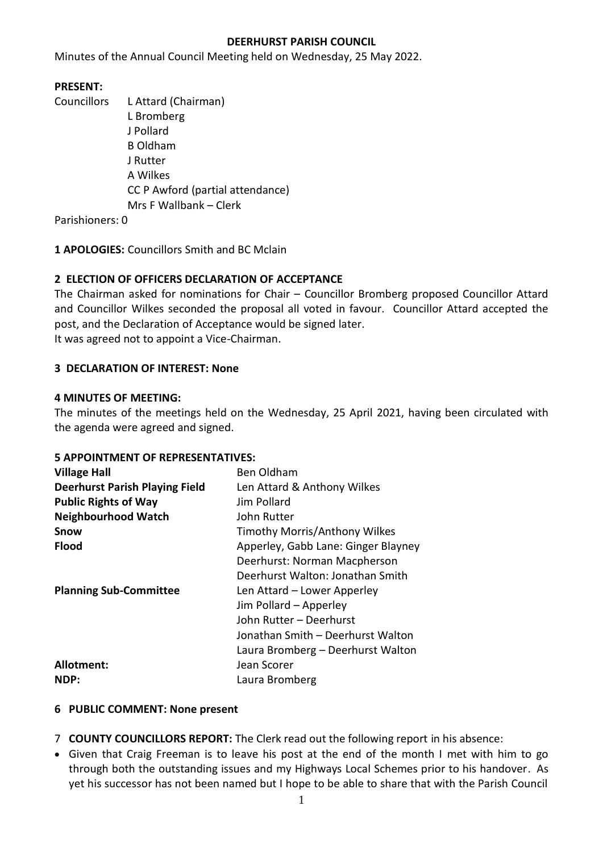### **DEERHURST PARISH COUNCIL**

Minutes of the Annual Council Meeting held on Wednesday, 25 May 2022.

# **PRESENT:**

Councillors L Attard (Chairman) L Bromberg J Pollard B Oldham J Rutter A Wilkes CC P Awford (partial attendance) Mrs F Wallbank – Clerk

Parishioners: 0

**1 APOLOGIES:** Councillors Smith and BC Mclain

# **2 ELECTION OF OFFICERS DECLARATION OF ACCEPTANCE**

The Chairman asked for nominations for Chair – Councillor Bromberg proposed Councillor Attard and Councillor Wilkes seconded the proposal all voted in favour. Councillor Attard accepted the post, and the Declaration of Acceptance would be signed later. It was agreed not to appoint a Vice-Chairman.

# **3 DECLARATION OF INTEREST: None**

### **4 MINUTES OF MEETING:**

The minutes of the meetings held on the Wednesday, 25 April 2021, having been circulated with the agenda were agreed and signed.

# **5 APPOINTMENT OF REPRESENTATIVES:**

| <b>Village Hall</b>                   | <b>Ben Oldham</b>                   |  |  |
|---------------------------------------|-------------------------------------|--|--|
| <b>Deerhurst Parish Playing Field</b> | Len Attard & Anthony Wilkes         |  |  |
| <b>Public Rights of Way</b>           | Jim Pollard                         |  |  |
| <b>Neighbourhood Watch</b>            | John Rutter                         |  |  |
| <b>Snow</b>                           | Timothy Morris/Anthony Wilkes       |  |  |
| <b>Flood</b>                          | Apperley, Gabb Lane: Ginger Blayney |  |  |
|                                       | Deerhurst: Norman Macpherson        |  |  |
|                                       | Deerhurst Walton: Jonathan Smith    |  |  |
| <b>Planning Sub-Committee</b>         | Len Attard - Lower Apperley         |  |  |
|                                       | Jim Pollard - Apperley              |  |  |
|                                       | John Rutter - Deerhurst             |  |  |
|                                       | Jonathan Smith - Deerhurst Walton   |  |  |
|                                       | Laura Bromberg - Deerhurst Walton   |  |  |
| Allotment:                            | Jean Scorer                         |  |  |
| NDP:                                  | Laura Bromberg                      |  |  |

#### **6 PUBLIC COMMENT: None present**

- 7 **COUNTY COUNCILLORS REPORT:** The Clerk read out the following report in his absence:
- Given that Craig Freeman is to leave his post at the end of the month I met with him to go through both the outstanding issues and my Highways Local Schemes prior to his handover. As yet his successor has not been named but I hope to be able to share that with the Parish Council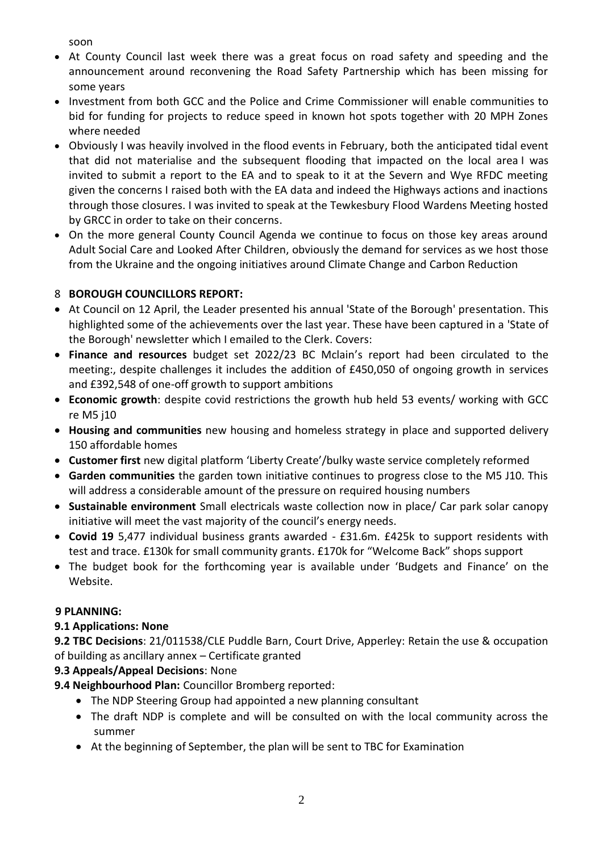soon

- At County Council last week there was a great focus on road safety and speeding and the announcement around reconvening the Road Safety Partnership which has been missing for some years
- Investment from both GCC and the Police and Crime Commissioner will enable communities to bid for funding for projects to reduce speed in known hot spots together with 20 MPH Zones where needed
- Obviously I was heavily involved in the flood events in February, both the anticipated tidal event that did not materialise and the subsequent flooding that impacted on the local area I was invited to submit a report to the EA and to speak to it at the Severn and Wye RFDC meeting given the concerns I raised both with the EA data and indeed the Highways actions and inactions through those closures. I was invited to speak at the Tewkesbury Flood Wardens Meeting hosted by GRCC in order to take on their concerns.
- On the more general County Council Agenda we continue to focus on those key areas around Adult Social Care and Looked After Children, obviously the demand for services as we host those from the Ukraine and the ongoing initiatives around Climate Change and Carbon Reduction

# 8 **BOROUGH COUNCILLORS REPORT:**

- At Council on 12 April, the Leader presented his annual 'State of the Borough' presentation. This highlighted some of the achievements over the last year. These have been captured in a 'State of the Borough' newsletter which I emailed to the Clerk. Covers:
- **Finance and resources** budget set 2022/23 BC Mclain's report had been circulated to the meeting:, despite challenges it includes the addition of £450,050 of ongoing growth in services and £392,548 of one-off growth to support ambitions
- **Economic growth**: despite covid restrictions the growth hub held 53 events/ working with GCC re M5 j10
- **Housing and communities** new housing and homeless strategy in place and supported delivery 150 affordable homes
- **Customer first** new digital platform 'Liberty Create'/bulky waste service completely reformed
- **Garden communities** the garden town initiative continues to progress close to the M5 J10. This will address a considerable amount of the pressure on required housing numbers
- **Sustainable environment** Small electricals waste collection now in place/ Car park solar canopy initiative will meet the vast majority of the council's energy needs.
- **Covid 19** 5,477 individual business grants awarded £31.6m. £425k to support residents with test and trace. £130k for small community grants. £170k for "Welcome Back" shops support
- The budget book for the forthcoming year is available under 'Budgets and Finance' on the Website.

# **9 PLANNING:**

# **9.1 Applications: None**

**9.2 TBC Decisions**: 21/011538/CLE Puddle Barn, Court Drive, Apperley: Retain the use & occupation of building as ancillary annex – Certificate granted

# **9.3 Appeals/Appeal Decisions**: None

**9.4 Neighbourhood Plan:** Councillor Bromberg reported:

- The NDP Steering Group had appointed a new planning consultant
- The draft NDP is complete and will be consulted on with the local community across the summer
- At the beginning of September, the plan will be sent to TBC for Examination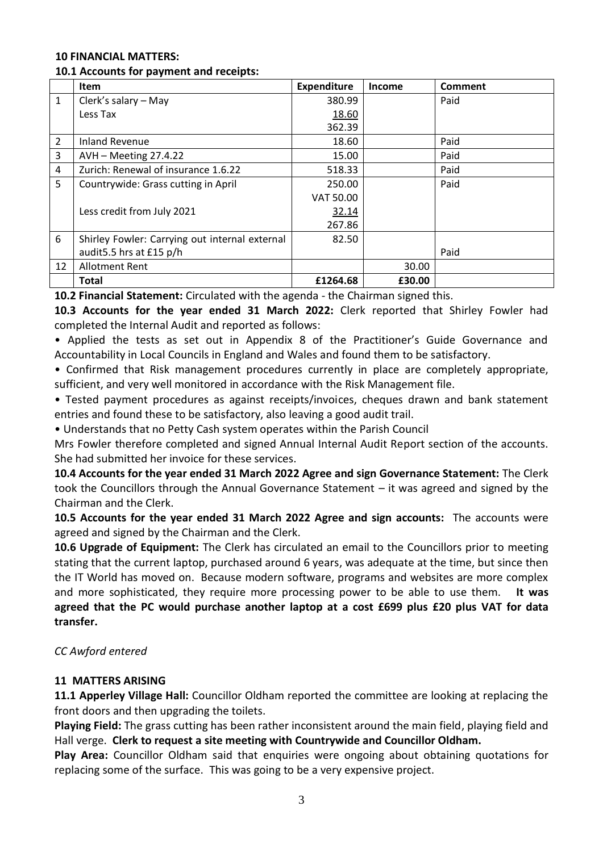### **10 FINANCIAL MATTERS:**

### **10.1 Accounts for payment and receipts:**

|              | <b>Item</b>                                    | <b>Expenditure</b> | <b>Income</b> | Comment |
|--------------|------------------------------------------------|--------------------|---------------|---------|
| $\mathbf{1}$ | Clerk's salary - May                           | 380.99             |               | Paid    |
|              | Less Tax                                       | 18.60              |               |         |
|              |                                                | 362.39             |               |         |
| 2            | <b>Inland Revenue</b>                          | 18.60              |               | Paid    |
| 3            | AVH - Meeting 27.4.22                          | 15.00              |               | Paid    |
| 4            | Zurich: Renewal of insurance 1.6.22            | 518.33             |               | Paid    |
| 5            | Countrywide: Grass cutting in April            | 250.00             |               | Paid    |
|              |                                                | VAT 50.00          |               |         |
|              | Less credit from July 2021                     | 32.14              |               |         |
|              |                                                | 267.86             |               |         |
| 6            | Shirley Fowler: Carrying out internal external | 82.50              |               |         |
|              | audit5.5 hrs at £15 p/h                        |                    |               | Paid    |
| 12           | <b>Allotment Rent</b>                          |                    | 30.00         |         |
|              | <b>Total</b>                                   | £1264.68           | £30.00        |         |

**10.2 Financial Statement:** Circulated with the agenda - the Chairman signed this.

**10.3 Accounts for the year ended 31 March 2022:** Clerk reported that Shirley Fowler had completed the Internal Audit and reported as follows:

• Applied the tests as set out in Appendix 8 of the Practitioner's Guide Governance and Accountability in Local Councils in England and Wales and found them to be satisfactory.

• Confirmed that Risk management procedures currently in place are completely appropriate, sufficient, and very well monitored in accordance with the Risk Management file.

• Tested payment procedures as against receipts/invoices, cheques drawn and bank statement entries and found these to be satisfactory, also leaving a good audit trail.

• Understands that no Petty Cash system operates within the Parish Council

Mrs Fowler therefore completed and signed Annual Internal Audit Report section of the accounts. She had submitted her invoice for these services.

**10.4 Accounts for the year ended 31 March 2022 Agree and sign Governance Statement:** The Clerk took the Councillors through the Annual Governance Statement – it was agreed and signed by the Chairman and the Clerk.

**10.5 Accounts for the year ended 31 March 2022 Agree and sign accounts:** The accounts were agreed and signed by the Chairman and the Clerk.

**10.6 Upgrade of Equipment:** The Clerk has circulated an email to the Councillors prior to meeting stating that the current laptop, purchased around 6 years, was adequate at the time, but since then the IT World has moved on. Because modern software, programs and websites are more complex and more sophisticated, they require more processing power to be able to use them. **It was agreed that the PC would purchase another laptop at a cost £699 plus £20 plus VAT for data transfer.**

# *CC Awford entered*

# **11 MATTERS ARISING**

**11.1 Apperley Village Hall:** Councillor Oldham reported the committee are looking at replacing the front doors and then upgrading the toilets.

**Playing Field:** The grass cutting has been rather inconsistent around the main field, playing field and Hall verge. **Clerk to request a site meeting with Countrywide and Councillor Oldham.**

**Play Area:** Councillor Oldham said that enquiries were ongoing about obtaining quotations for replacing some of the surface. This was going to be a very expensive project.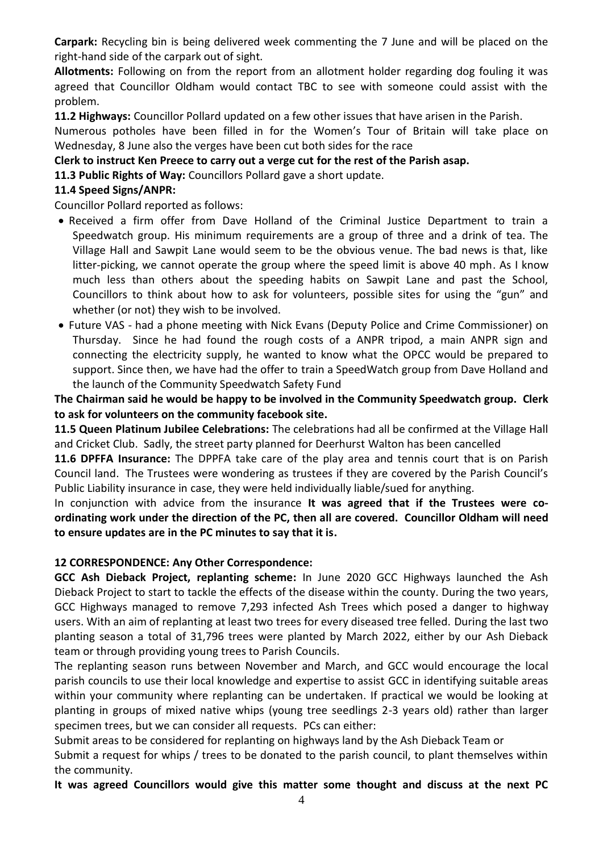**Carpark:** Recycling bin is being delivered week commenting the 7 June and will be placed on the right-hand side of the carpark out of sight.

**Allotments:** Following on from the report from an allotment holder regarding dog fouling it was agreed that Councillor Oldham would contact TBC to see with someone could assist with the problem.

**11.2 Highways:** Councillor Pollard updated on a few other issues that have arisen in the Parish.

Numerous potholes have been filled in for the Women's Tour of Britain will take place on Wednesday, 8 June also the verges have been cut both sides for the race

**Clerk to instruct Ken Preece to carry out a verge cut for the rest of the Parish asap.**

**11.3 Public Rights of Way:** Councillors Pollard gave a short update.

### **11.4 Speed Signs/ANPR:**

Councillor Pollard reported as follows:

- Received a firm offer from Dave Holland of the Criminal Justice Department to train a Speedwatch group. His minimum requirements are a group of three and a drink of tea. The Village Hall and Sawpit Lane would seem to be the obvious venue. The bad news is that, like litter-picking, we cannot operate the group where the speed limit is above 40 mph. As I know much less than others about the speeding habits on Sawpit Lane and past the School, Councillors to think about how to ask for volunteers, possible sites for using the "gun" and whether (or not) they wish to be involved.
- Future VAS had a phone meeting with Nick Evans (Deputy Police and Crime Commissioner) on Thursday. Since he had found the rough costs of a ANPR tripod, a main ANPR sign and connecting the electricity supply, he wanted to know what the OPCC would be prepared to support. Since then, we have had the offer to train a SpeedWatch group from Dave Holland and the launch of the Community Speedwatch Safety Fund

**The Chairman said he would be happy to be involved in the Community Speedwatch group. Clerk to ask for volunteers on the community facebook site.**

**11.5 Queen Platinum Jubilee Celebrations:** The celebrations had all be confirmed at the Village Hall and Cricket Club. Sadly, the street party planned for Deerhurst Walton has been cancelled

**11.6 DPFFA Insurance:** The DPPFA take care of the play area and tennis court that is on Parish Council land. The Trustees were wondering as trustees if they are covered by the Parish Council's Public Liability insurance in case, they were held individually liable/sued for anything.

In conjunction with advice from the insurance **It was agreed that if the Trustees were coordinating work under the direction of the PC, then all are covered. Councillor Oldham will need to ensure updates are in the PC minutes to say that it is.**

#### **12 CORRESPONDENCE: Any Other Correspondence:**

**GCC Ash Dieback Project, replanting scheme:** In June 2020 GCC Highways launched the Ash Dieback Project to start to tackle the effects of the disease within the county. During the two years, GCC Highways managed to remove 7,293 infected Ash Trees which posed a danger to highway users. With an aim of replanting at least two trees for every diseased tree felled. During the last two planting season a total of 31,796 trees were planted by March 2022, either by our Ash Dieback team or through providing young trees to Parish Councils.

The replanting season runs between November and March, and GCC would encourage the local parish councils to use their local knowledge and expertise to assist GCC in identifying suitable areas within your community where replanting can be undertaken. If practical we would be looking at planting in groups of mixed native whips (young tree seedlings 2-3 years old) rather than larger specimen trees, but we can consider all requests. PCs can either:

Submit areas to be considered for replanting on highways land by the Ash Dieback Team or

Submit a request for whips / trees to be donated to the parish council, to plant themselves within the community.

**It was agreed Councillors would give this matter some thought and discuss at the next PC**